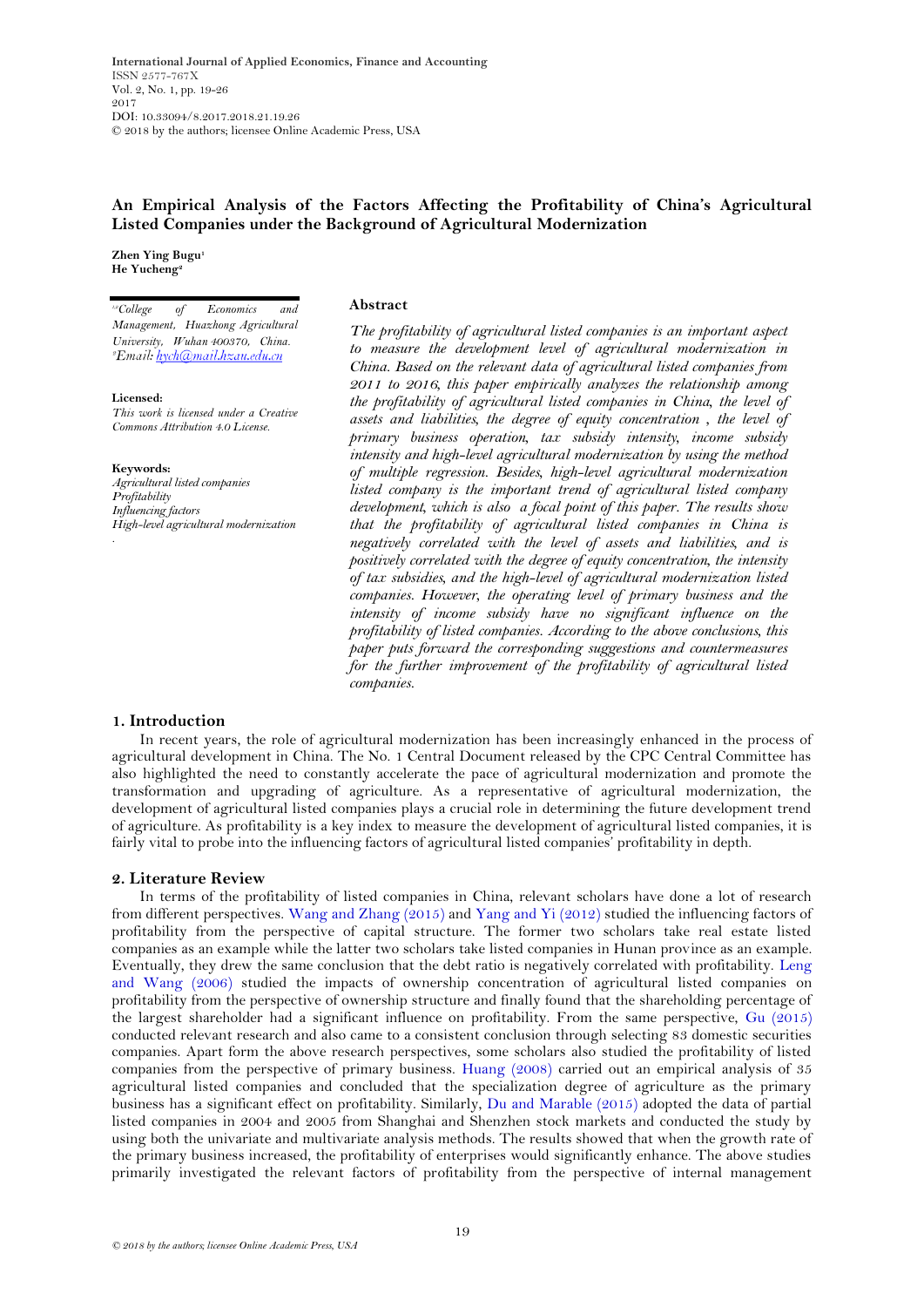**International Journal of Applied Economics, Finance and Accounting** ISSN 2577-767X Vol. 2, No. 1, pp. 19-26 2017 DOI: 10.33094/8.2017.2018.21.19.26 © 2018 by the authors; licensee Online Academic Press, USA

## **An Empirical Analysis of the Factors Affecting the Profitability of China's Agricultural Listed Companies under the Background of Agricultural Modernization**

**Zhen Ying Bugu<sup>1</sup> He Yucheng<sup>2</sup>**

*1,2College of Economics and Management*,*Huazhong Agricultural University*,*Wuhan 400370*,*China.*

**Licensed:** 

*This work is licensed under a Creative Commons Attribution 4.0 License.* 

#### **Keywords:**

*Agricultural listed companies Profitability Influencing factors High-level agricultural modernization .*

### **Abstract**

*The profitability of agricultural listed companies is an important aspect to measure the development level of agricultural modernization in China. Based on the relevant data of agricultural listed companies from 2011 to 2016, this paper empirically analyzes the relationship among the profitability of agricultural listed companies in China, the level of assets and liabilities, the degree of equity concentration , the level of primary business operation, tax subsidy intensity, income subsidy intensity and high-level agricultural modernization by using the method of multiple regression. Besides, high-level agricultural modernization listed company is the important trend of agricultural listed company development, which is also a focal point of this paper. The results show that the profitability of agricultural listed companies in China is negatively correlated with the level of assets and liabilities, and is positively correlated with the degree of equity concentration, the intensity of tax subsidies, and the high-level of agricultural modernization listed companies. However, the operating level of primary business and the intensity of income subsidy have no significant influence on the profitability of listed companies. According to the above conclusions, this paper puts forward the corresponding suggestions and countermeasures*  for the further improvement of the profitability of agricultural listed *companies.*

### **1. Introduction**

In recent years, the role of agricultural modernization has been increasingly enhanced in the process of agricultural development in China. The No. 1 Central Document released by the CPC Central Committee has also highlighted the need to constantly accelerate the pace of agricultural modernization and promote the transformation and upgrading of agriculture. As a representative of agricultural modernization, the development of agricultural listed companies plays a crucial role in determining the future development trend of agriculture. As profitability is a key index to measure the development of agricultural listed companies, it is fairly vital to probe into the influencing factors of agricultural listed companies' profitability in depth.

### **2. Literature Review**

In terms of the profitability of listed companies in China, relevant scholars have done a lot of research from different perspectives. [Wang and Zhang \(2015\)](#page-7-0) and [Yang and Yi \(2012\)](#page-7-1) studied the influencing factors of profitability from the perspective of capital structure. The former two scholars take real estate listed companies as an example while the latter two scholars take listed companies in Hunan province as an example. Eventually, they drew the same conclusion that the debt ratio is negatively correlated with profitability. [Leng](#page-7-2)  [and Wang \(2006\)](#page-7-2) studied the impacts of ownership concentration of agricultural listed companies on profitability from the perspective of ownership structure and finally found that the shareholding percentage of the largest shareholder had a significant influence on profitability. From the same perspective, [Gu \(2015\)](#page-7-3) conducted relevant research and also came to a consistent conclusion through selecting 83 domestic securities companies. Apart form the above research perspectives, some scholars also studied the profitability of listed companies from the perspective of primary business. [Huang \(2008\)](#page-7-4) carried out an empirical analysis of 35 agricultural listed companies and concluded that the specialization degree of agriculture as the primary business has a significant effect on profitability. Similarly, [Du and Marable \(2015\)](#page-7-5) adopted the data of partial listed companies in 2004 and 2005 from Shanghai and Shenzhen stock markets and conducted the study by using both the univariate and multivariate analysis methods. The results showed that when the growth rate of the primary business increased, the profitability of enterprises would significantly enhance. The above studies primarily investigated the relevant factors of profitability from the perspective of internal management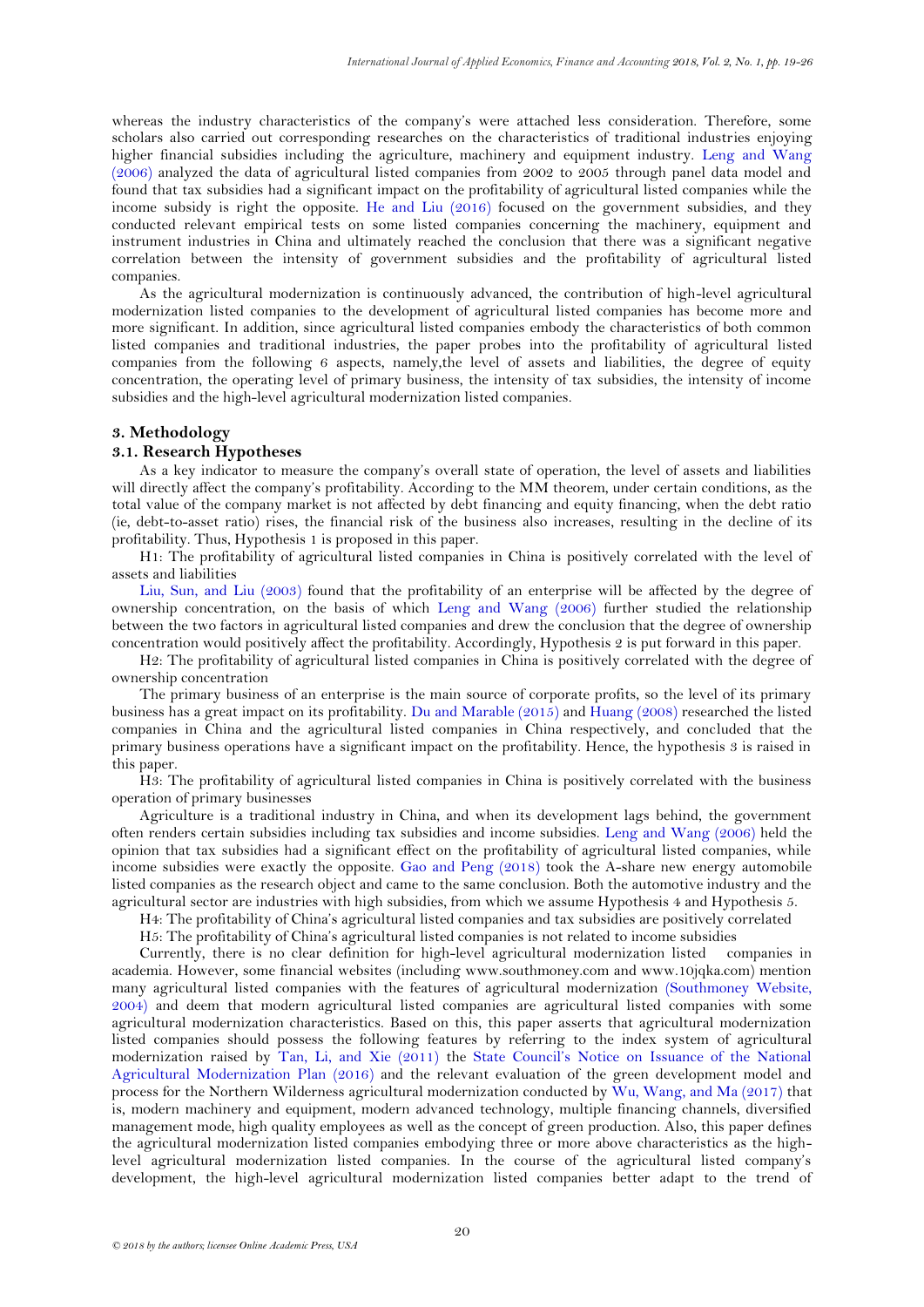whereas the industry characteristics of the company's were attached less consideration. Therefore, some scholars also carried out corresponding researches on the characteristics of traditional industries enjoying higher financial subsidies including the agriculture, machinery and equipment industry. [Leng and Wang](#page-7-2)  [\(2006\)](#page-7-2) analyzed the data of agricultural listed companies from 2002 to 2005 through panel data model and found that tax subsidies had a significant impact on the profitability of agricultural listed companies while the income subsidy is right the opposite. [He and Liu \(2016\)](#page-7-6) focused on the government subsidies, and they conducted relevant empirical tests on some listed companies concerning the machinery, equipment and instrument industries in China and ultimately reached the conclusion that there was a significant negative correlation between the intensity of government subsidies and the profitability of agricultural listed companies.

As the agricultural modernization is continuously advanced, the contribution of high-level agricultural modernization listed companies to the development of agricultural listed companies has become more and more significant. In addition, since agricultural listed companies embody the characteristics of both common listed companies and traditional industries, the paper probes into the profitability of agricultural listed companies from the following 6 aspects, namely,the level of assets and liabilities, the degree of equity concentration, the operating level of primary business, the intensity of tax subsidies, the intensity of income subsidies and the high-level agricultural modernization listed companies.

## **3. Methodology**

## **3.1. Research Hypotheses**

As a key indicator to measure the company's overall state of operation, the level of assets and liabilities will directly affect the company's profitability. According to the MM theorem, under certain conditions, as the total value of the company market is not affected by debt financing and equity financing, when the debt ratio (ie, debt-to-asset ratio) rises, the financial risk of the business also increases, resulting in the decline of its profitability. Thus, Hypothesis 1 is proposed in this paper.

H1: The profitability of agricultural listed companies in China is positively correlated with the level of assets and liabilities

[Liu, Sun, and Liu \(2003\)](#page-7-7) found that the profitability of an enterprise will be affected by the degree of ownership concentration, on the basis of which [Leng and Wang \(2006\)](#page-7-2) further studied the relationship between the two factors in agricultural listed companies and drew the conclusion that the degree of ownership concentration would positively affect the profitability. Accordingly, Hypothesis 2 is put forward in this paper.

H2: The profitability of agricultural listed companies in China is positively correlated with the degree of ownership concentration

The primary business of an enterprise is the main source of corporate profits, so the level of its primary business has a great impact on its profitability. [Du and Marable \(2015\)](#page-7-5) and [Huang \(2008\)](#page-7-4) researched the listed companies in China and the agricultural listed companies in China respectively, and concluded that the primary business operations have a significant impact on the profitability. Hence, the hypothesis 3 is raised in this paper.

H3: The profitability of agricultural listed companies in China is positively correlated with the business operation of primary businesses

Agriculture is a traditional industry in China, and when its development lags behind, the government often renders certain subsidies including tax subsidies and income subsidies. [Leng and Wang \(2006\)](#page-7-2) held the opinion that tax subsidies had a significant effect on the profitability of agricultural listed companies, while income subsidies were exactly the opposite. [Gao and Peng \(2018\)](#page-7-8) took the A-share new energy automobile listed companies as the research object and came to the same conclusion. Both the automotive industry and the agricultural sector are industries with high subsidies, from which we assume Hypothesis 4 and Hypothesis 5.

H4: The profitability of China's agricultural listed companies and tax subsidies are positively correlated

H5: The profitability of China's agricultural listed companies is not related to income subsidies

Currently, there is no clear definition for high-level agricultural modernization listed companies in academia. However, some financial websites (including www.southmoney.com and www.10jqka.com) mention many agricultural listed companies with the features of agricultural modernization [\(Southmoney Website,](#page-7-9)  [2004\)](#page-7-9) and deem that modern agricultural listed companies are agricultural listed companies with some agricultural modernization characteristics. Based on this, this paper asserts that agricultural modernization listed companies should possess the following features by referring to the index system of agricultural modernization raised by [Tan, Li, and Xie \(2011\)](#page-7-10) the [State Council's Notice on Issuance of the National](#page-7-11)  [Agricultural Modernization Plan \(2016\)](#page-7-11) and the relevant evaluation of the green development model and process for the Northern Wilderness agricultural modernization conducted by [Wu, Wang, and Ma \(2017\)](#page-7-12) that is, modern machinery and equipment, modern advanced technology, multiple financing channels, diversified management mode, high quality employees as well as the concept of green production. Also, this paper defines the agricultural modernization listed companies embodying three or more above characteristics as the highlevel agricultural modernization listed companies. In the course of the agricultural listed company's development, the high-level agricultural modernization listed companies better adapt to the trend of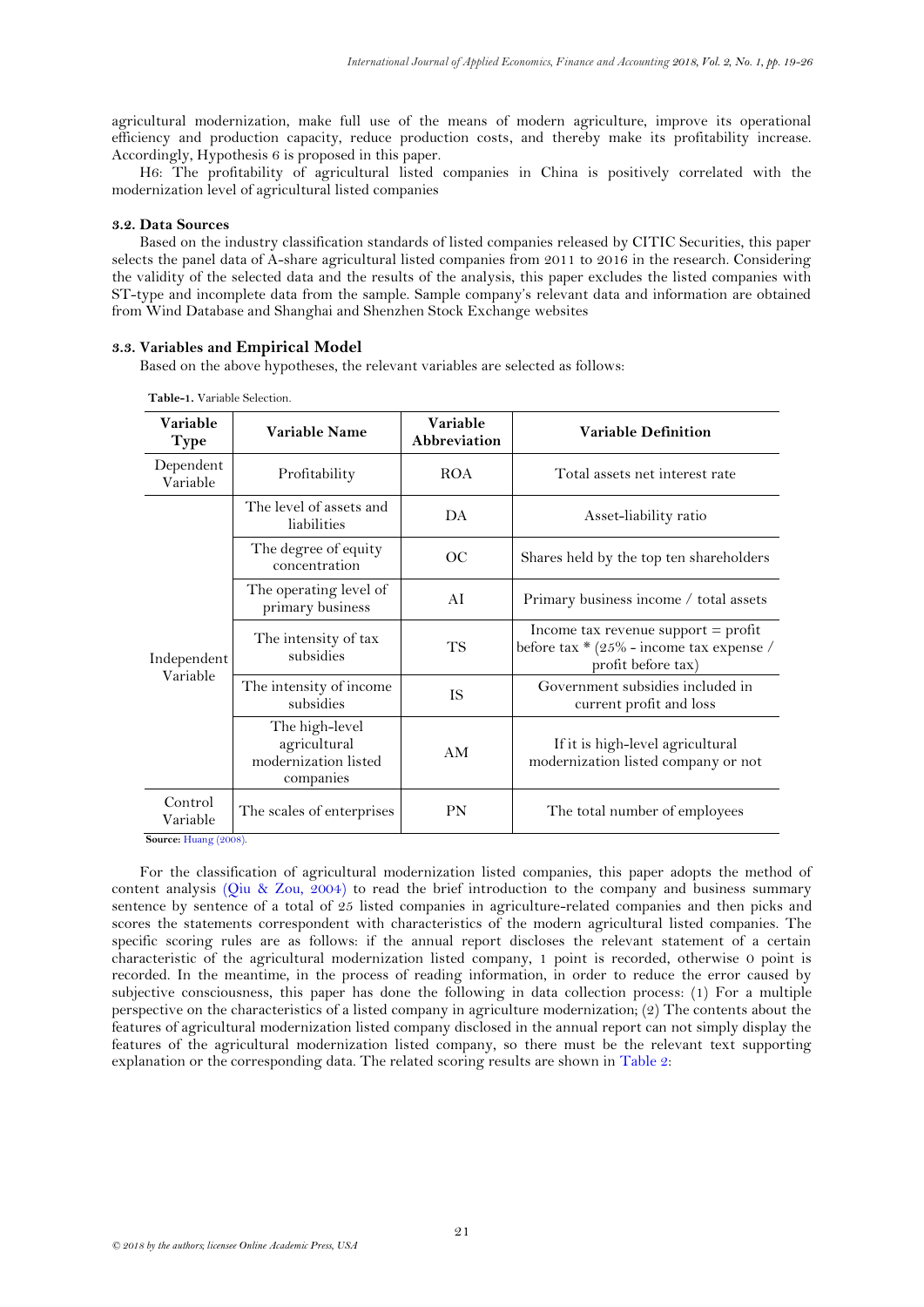agricultural modernization, make full use of the means of modern agriculture, improve its operational efficiency and production capacity, reduce production costs, and thereby make its profitability increase. Accordingly, Hypothesis 6 is proposed in this paper.

H6: The profitability of agricultural listed companies in China is positively correlated with the modernization level of agricultural listed companies

### **3.2. Data Sources**

Based on the industry classification standards of listed companies released by CITIC Securities, this paper selects the panel data of A-share agricultural listed companies from 2011 to 2016 in the research. Considering the validity of the selected data and the results of the analysis, this paper excludes the listed companies with ST-type and incomplete data from the sample. Sample company's relevant data and information are obtained from Wind Database and Shanghai and Shenzhen Stock Exchange websites

## **3.3. Variables and Empirical Model**

Based on the above hypotheses, the relevant variables are selected as follows:

| Variable<br><b>Type</b>                     | <b>Variable Name</b>                                                | Variable<br>Abbreviation | <b>Variable Definition</b>                                                                                        |  |  |
|---------------------------------------------|---------------------------------------------------------------------|--------------------------|-------------------------------------------------------------------------------------------------------------------|--|--|
| Dependent<br>Variable                       | Profitability                                                       | <b>ROA</b>               | Total assets net interest rate                                                                                    |  |  |
| Independent<br>Variable                     | The level of assets and<br>liabilities                              | DA                       | Asset-liability ratio                                                                                             |  |  |
|                                             | The degree of equity<br>concentration                               | OC.                      | Shares held by the top ten shareholders                                                                           |  |  |
|                                             | The operating level of<br>primary business                          | AI                       | Primary business income / total assets                                                                            |  |  |
|                                             | The intensity of tax<br>subsidies                                   | TS                       | Income tax revenue support $=$ profit<br>before tax $*(25\% - \text{income tax expense /})$<br>profit before tax) |  |  |
|                                             | The intensity of income<br>subsidies                                | <b>IS</b>                | Government subsidies included in<br>current profit and loss                                                       |  |  |
|                                             | The high-level<br>agricultural<br>modernization listed<br>companies | AM                       | If it is high-level agricultural<br>modernization listed company or not                                           |  |  |
| Control<br>Variable<br>Source: Huang (9008) | The scales of enterprises                                           | <b>PN</b>                | The total number of employees                                                                                     |  |  |

 **Table-1.** Variable Selection.

**Source:** [Huang \(2008\).](#page-7-4)

For the classification of agricultural modernization listed companies, this paper adopts the method of content analysis [\(Qiu & Zou, 2004\)](#page-7-13) to read the brief introduction to the company and business summary sentence by sentence of a total of 25 listed companies in agriculture-related companies and then picks and scores the statements correspondent with characteristics of the modern agricultural listed companies. The specific scoring rules are as follows: if the annual report discloses the relevant statement of a certain characteristic of the agricultural modernization listed company, 1 point is recorded, otherwise 0 point is recorded. In the meantime, in the process of reading information, in order to reduce the error caused by subjective consciousness, this paper has done the following in data collection process: (1) For a multiple perspective on the characteristics of a listed company in agriculture modernization; (2) The contents about the features of agricultural modernization listed company disclosed in the annual report can not simply display the features of the agricultural modernization listed company, so there must be the relevant text supporting explanation or the corresponding data. The related scoring results are shown in [Table 2:](#page-3-0)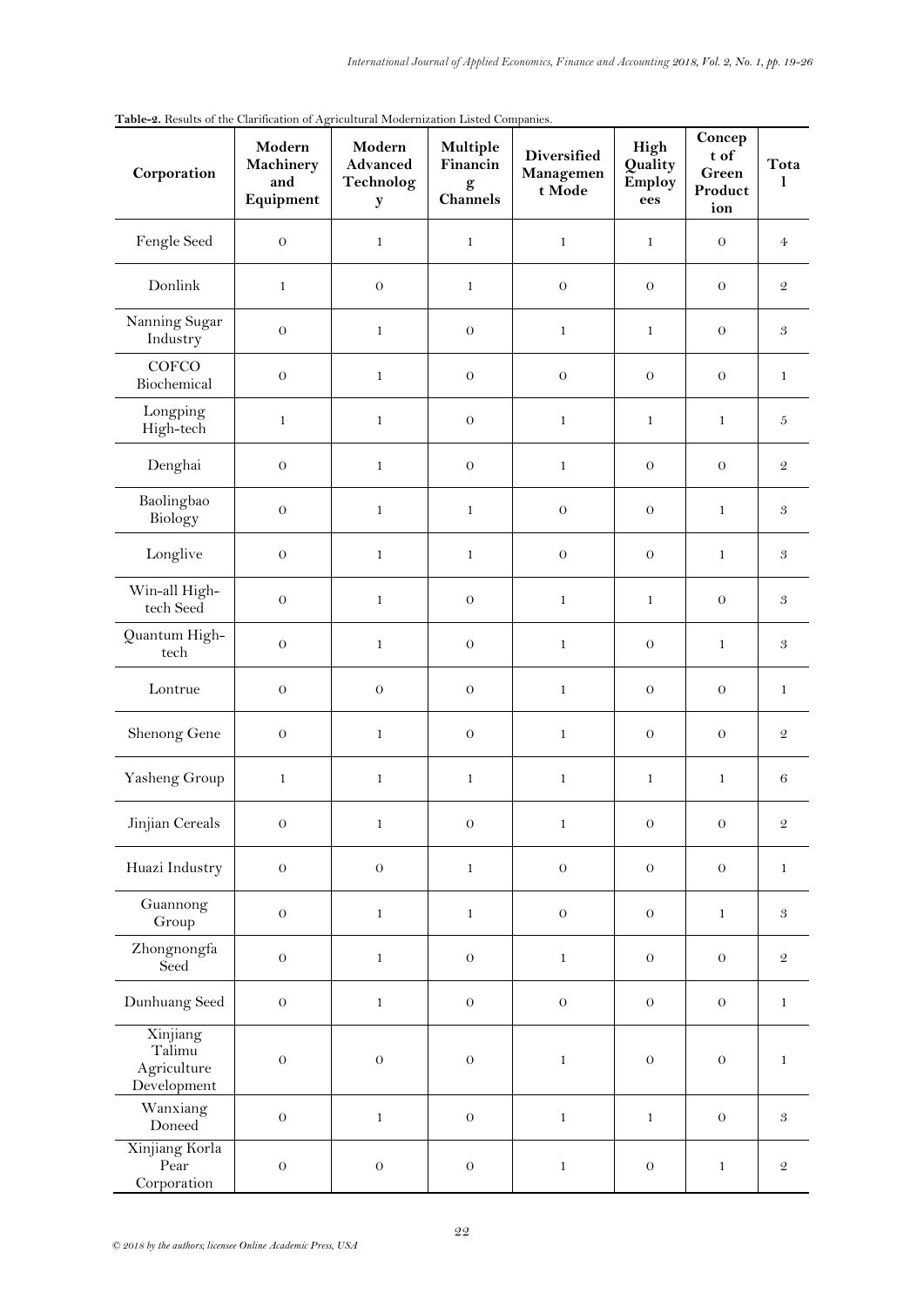| <b>Table-2.</b> Results of the Clarification of Agricultural Modernization Listed Companies.<br>Corporation | Modern<br>Machinery<br>and<br>Equipment | Modern<br>Advanced<br>Technolog<br>$\mathbf{y}$ | Multiple<br>Financin<br>g<br><b>Channels</b> | <b>Diversified</b><br>Managemen<br>t Mode | High<br>Quality<br>Employ<br>ees | Concep<br>t of<br>Green<br>Product<br>ion | Tota<br>1                  |
|-------------------------------------------------------------------------------------------------------------|-----------------------------------------|-------------------------------------------------|----------------------------------------------|-------------------------------------------|----------------------------------|-------------------------------------------|----------------------------|
| Fengle Seed                                                                                                 | $\boldsymbol{0}$                        | $\mathbf{1}$                                    | $\mathbf{1}$                                 | $\,1$                                     | $\mathbf{1}$                     | $\boldsymbol{0}$                          | $\overline{4}$             |
| Donlink                                                                                                     | $\mathbf{1}$                            | $\theta$                                        | $\,1$                                        | $\boldsymbol{0}$                          | $\theta$                         | $\theta$                                  | $\mathbf 2$                |
| Nanning Sugar<br>Industry                                                                                   | $\rm{O}$                                | $\mathbf{1}$                                    | $\boldsymbol{0}$                             | $\mathbf{1}$                              | $\mathbf{1}$                     | $\boldsymbol{0}$                          | $\boldsymbol{\mathcal{S}}$ |
| <b>COFCO</b><br>Biochemical                                                                                 | $\boldsymbol{0}$                        | $\,1$                                           | $\boldsymbol{0}$                             | $\boldsymbol{0}$                          | $\theta$                         | $\mathcal O$                              | $\mathbf{1}$               |
| Longping<br>High-tech                                                                                       | $\mathbf{1}$                            | $\mathbf{1}$                                    | $\boldsymbol{0}$                             | $\,1$                                     | $\mathbf{1}$                     | $\mathbf{1}$                              | $\boldsymbol{5}$           |
| Denghai                                                                                                     | $\boldsymbol{0}$                        | $\mathbf{1}$                                    | $\boldsymbol{0}$                             | $\mathbf{1}$                              | $\theta$                         | $\boldsymbol{0}$                          | $\mathbf 2$                |
| Baolingbao<br>Biology                                                                                       | $\theta$                                | $\mathbf{1}$                                    | $\mathbf{1}$                                 | $\boldsymbol{0}$                          | $\theta$                         | $\mathbf{1}$                              | $\boldsymbol{\mathcal{S}}$ |
| Longlive                                                                                                    | $\boldsymbol{0}$                        | $\mathbf{1}$                                    | $\mathbf{1}$                                 | $\boldsymbol{0}$                          | $\boldsymbol{0}$                 | $\mathbf{1}$                              | $\boldsymbol{\mathcal{S}}$ |
| Win-all High-<br>tech Seed                                                                                  | $\boldsymbol{0}$                        | $\mathbf{1}$                                    | $\boldsymbol{0}$                             | $\,1$                                     | $\mathbf{1}$                     | $\boldsymbol{0}$                          | $\boldsymbol{\mathcal{S}}$ |
| Quantum High-<br>tech                                                                                       | $\boldsymbol{0}$                        | $\mathbf{1}$                                    | $\boldsymbol{0}$                             | $\mathbf{1}$                              | $\theta$                         | $\mathbf{1}$                              | $\sqrt{3}$                 |
| Lontrue                                                                                                     | $\boldsymbol{0}$                        | $\theta$                                        | $\boldsymbol{0}$                             | $\mathbf{1}$                              | $\theta$                         | $\boldsymbol{0}$                          | $\mathbf{1}$               |
| Shenong Gene                                                                                                | $\boldsymbol{0}$                        | $\mathbf{1}$                                    | $\boldsymbol{0}$                             | $\mathbf{1}$                              | $\theta$                         | $\boldsymbol{0}$                          | $\mathfrak{D}$             |
| Yasheng Group                                                                                               | $\mathbf{1}$                            | $\mathbf{1}$                                    | $\,1$                                        | $\mathbf 1$                               | $\mathbf{1}$                     | $\mathbf{1}$                              | $\,6\,$                    |
| Jinjian Cereals                                                                                             | $\rm{O}$                                | 1                                               | $\boldsymbol{0}$                             | 1                                         | $\boldsymbol{0}$                 | $\rm{O}$                                  | $\mathbf 2$                |
| Huazi Industry                                                                                              | $\boldsymbol{0}$                        | $\overline{0}$                                  | $\,1$                                        | $\boldsymbol{0}$                          | $\theta$                         | $\boldsymbol{0}$                          | $\mathbf{1}$               |
| Guannong<br>Group                                                                                           | $\rm{O}$                                | $\,1$                                           | $\,1$                                        | $\rm{O}$                                  | $\boldsymbol{0}$                 | $\,1$                                     | $\boldsymbol{\mathcal{S}}$ |
| Zhongnongfa<br>Seed                                                                                         | $\mathbf 0$                             | $\mathbf{1}$                                    | $\rm{O}$                                     | $\,1$                                     | $\boldsymbol{0}$                 | $\boldsymbol{0}$                          | $\mathbf 2$                |
| Dunhuang Seed                                                                                               | $\boldsymbol{0}$                        | $\,1\,$                                         | $\boldsymbol{0}$                             | $\overline{0}$                            | $\boldsymbol{0}$                 | $\boldsymbol{0}$                          | $\,1$                      |
| Xinjiang<br>Talimu<br>Agriculture<br>Development                                                            | $\mathbf 0$                             | $\mathbf 0$                                     | $\rm{O}$                                     | $\,1$                                     | $\boldsymbol{0}$                 | $\boldsymbol{0}$                          | $\mathbf{1}$               |
| Wanxiang<br>Doneed                                                                                          | $\rm{O}$                                | $\,1\,$                                         | $\rm{O}$                                     | $\,1$                                     | $\,1$                            | $\mathcal O$                              | $\boldsymbol{\mathcal{S}}$ |
| Xinjiang Korla<br>Pear<br>Corporation                                                                       | $\rm{O}$                                | $\boldsymbol{0}$                                | $\rm{O}$                                     | $\mathbf{1}$                              | $\theta$                         | $\mathbf{1}$                              | $\mathbf 2$                |

<span id="page-3-0"></span>**Table-2.** Results of the Clarification of Agricultural Modernization Listed Companies.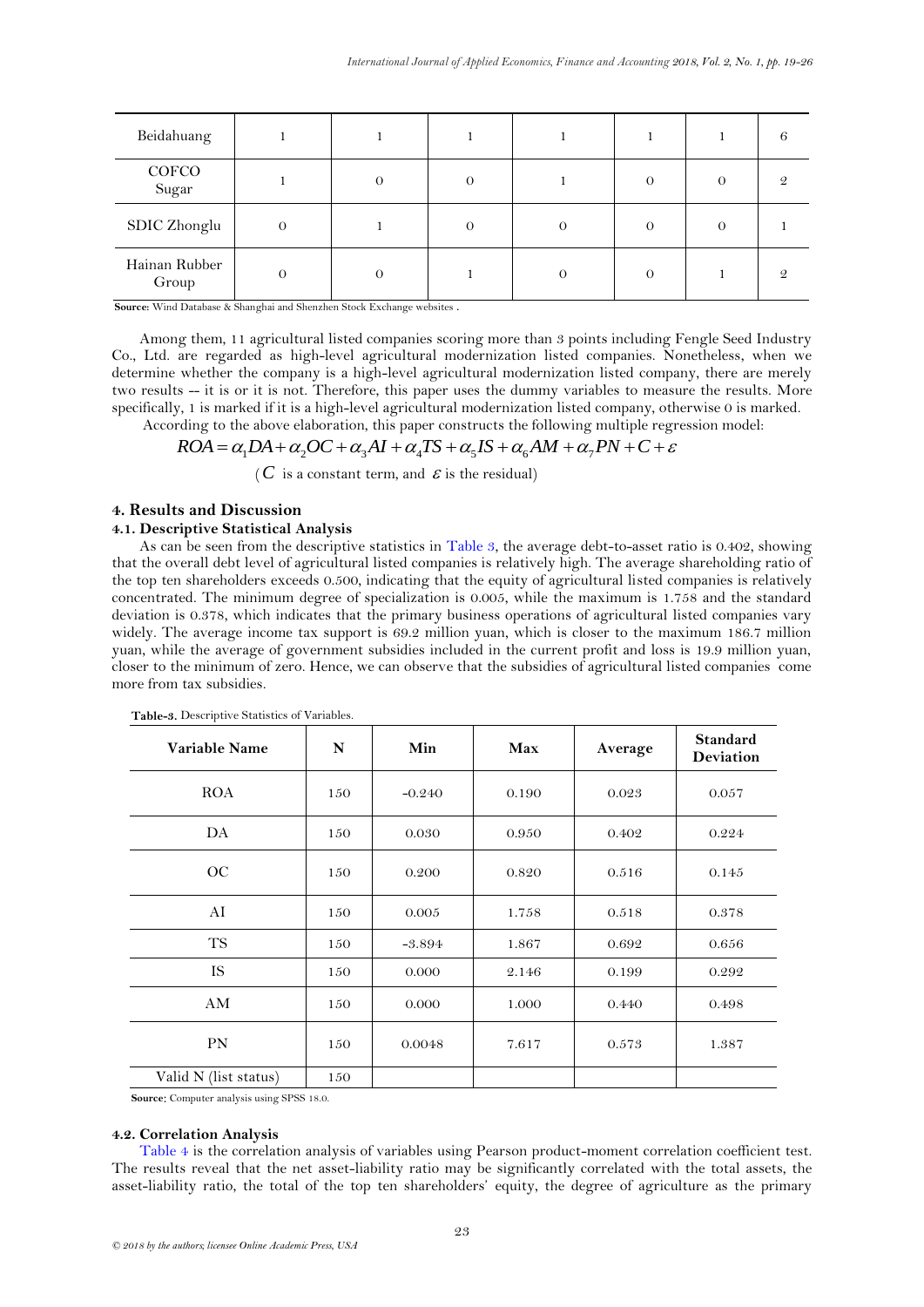| Beidahuang             |          |          |          |          |          |          | 6 |
|------------------------|----------|----------|----------|----------|----------|----------|---|
| COFCO<br>Sugar         |          | $\Omega$ | $\Omega$ |          | $\Omega$ | $\Omega$ |   |
| SDIC Zhonglu           | $\Omega$ |          | $\Omega$ | $\Omega$ | $\Omega$ | $\Omega$ |   |
| Hainan Rubber<br>Group | $\Omega$ | $\theta$ |          | $\Omega$ | $\Omega$ |          | 9 |

**Source:** Wind Database & Shanghai and Shenzhen Stock Exchange websites **.**

Among them, 11 agricultural listed companies scoring more than 3 points including Fengle Seed Industry Co., Ltd. are regarded as high-level agricultural modernization listed companies. Nonetheless, when we determine whether the company is a high-level agricultural modernization listed company, there are merely two results -- it is or it is not. Therefore, this paper uses the dummy variables to measure the results. More specifically, 1 is marked if it is a high-level agricultural modernization listed company, otherwise 0 is marked.

According to the above elaboration, this paper constructs the following multiple regression model:

# $ROA = \alpha_1 DA + \alpha_2 OC + \alpha_3 AI + \alpha_4 TS + \alpha_5 IS + \alpha_6 AM + \alpha_7 PN + C + \varepsilon$

(  $C$  is a constant term, and  $\varepsilon$  is the residual)

### **4. Results and Discussion**

### **4.1. Descriptive Statistical Analysis**

As can be seen from the descriptive statistics in [Table 3,](#page-4-0) the average debt-to-asset ratio is 0.402, showing that the overall debt level of agricultural listed companies is relatively high. The average shareholding ratio of the top ten shareholders exceeds 0.500, indicating that the equity of agricultural listed companies is relatively concentrated. The minimum degree of specialization is 0.005, while the maximum is 1.758 and the standard deviation is 0.378, which indicates that the primary business operations of agricultural listed companies vary widely. The average income tax support is 69.2 million yuan, which is closer to the maximum 186.7 million yuan, while the average of government subsidies included in the current profit and loss is 19.9 million yuan, closer to the minimum of zero. Hence, we can observe that the subsidies of agricultural listed companies come more from tax subsidies.

| Variable Name         | N   | Min      | <b>Max</b> | Average | <b>Standard</b><br><b>Deviation</b> |
|-----------------------|-----|----------|------------|---------|-------------------------------------|
| <b>ROA</b>            | 150 | $-0.240$ | 0.190      | 0.023   | 0.057                               |
| DA                    | 150 | 0.030    | 0.950      | 0.402   | 0.224                               |
| OC                    | 150 | 0.200    | 0.820      | 0.516   | 0.145                               |
| AI                    | 150 | 0.005    | 1.758      | 0.518   | 0.378                               |
| <b>TS</b>             | 150 | $-3.894$ | 1.867      | 0.692   | 0.656                               |
| <b>IS</b>             | 150 | 0.000    | 2.146      | 0.199   | 0.292                               |
| AM                    | 150 | 0.000    | 1.000      | 0.440   | 0.498                               |
| <b>PN</b>             | 150 | 0.0048   | 7.617      | 0.573   | 1.387                               |
| Valid N (list status) | 150 |          |            |         |                                     |

<span id="page-4-0"></span>**Table-3.** Descriptive Statistics of Variables.

**Source**: Computer analysis using SPSS 18.0.

#### **4.2. Correlation Analysis**

[Table 4](#page-5-0) is the correlation analysis of variables using Pearson product-moment correlation coefficient test. The results reveal that the net asset-liability ratio may be significantly correlated with the total assets, the asset-liability ratio, the total of the top ten shareholders' equity, the degree of agriculture as the primary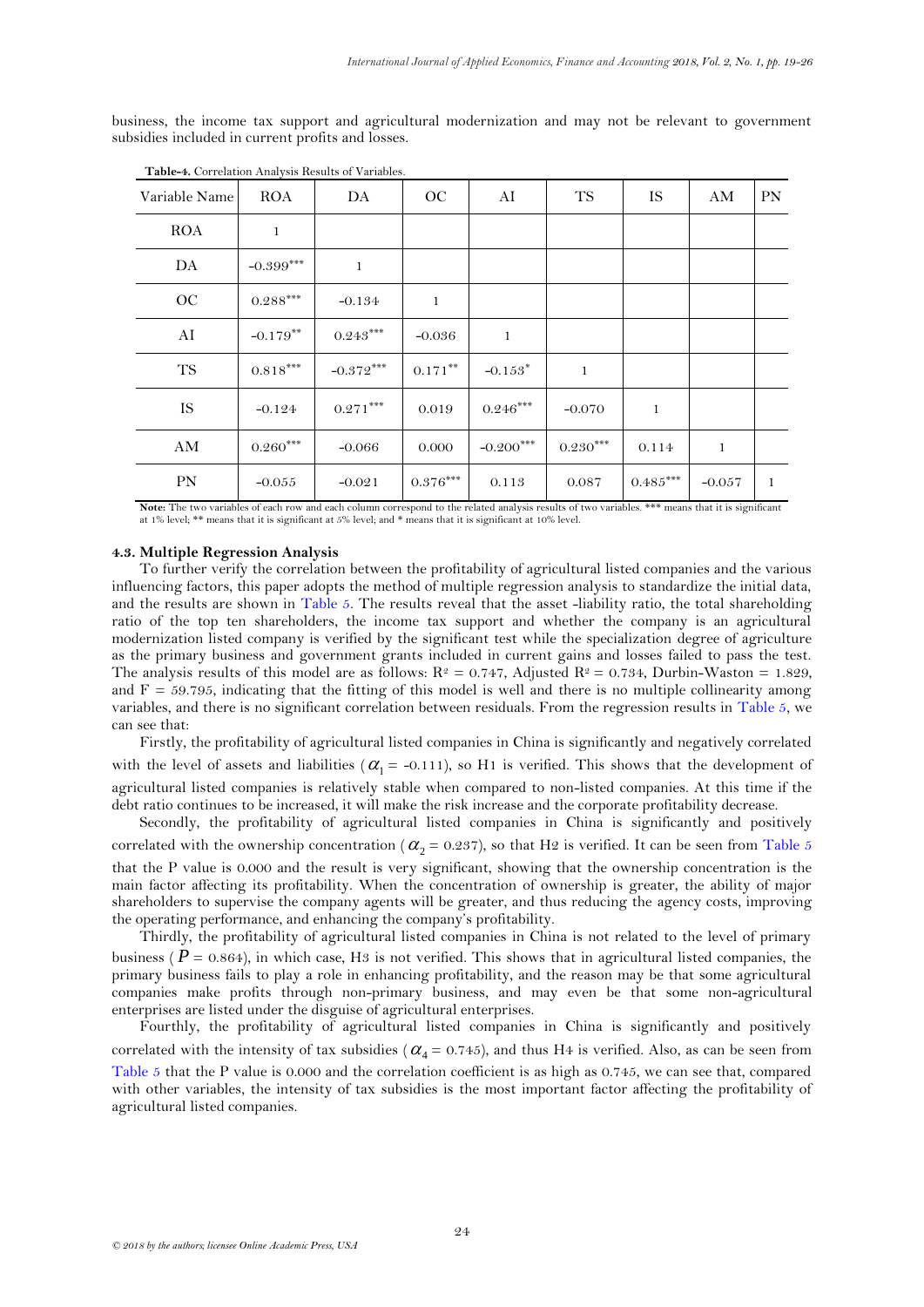business, the income tax support and agricultural modernization and may not be relevant to government subsidies included in current profits and losses.

| Variable Name | <b>ROA</b>   | DA           | OC         | AI           | <b>TS</b>    | IS         | AM           | <b>PN</b> |
|---------------|--------------|--------------|------------|--------------|--------------|------------|--------------|-----------|
| <b>ROA</b>    | $\mathbf{1}$ |              |            |              |              |            |              |           |
| DA            | $-0.399***$  | $\mathbf{1}$ |            |              |              |            |              |           |
| OC            | $0.288***$   | $-0.134$     | 1          |              |              |            |              |           |
| AI            | $-0.179***$  | $0.243***$   | $-0.036$   | $\mathbf{1}$ |              |            |              |           |
| <b>TS</b>     | $0.818***$   | $-0.372***$  | $0.171***$ | $-0.153*$    | $\mathbf{1}$ |            |              |           |
| <b>IS</b>     | $-0.124$     | $0.271***$   | 0.019      | $0.246***$   | $-0.070$     | 1          |              |           |
| AM            | $0.260***$   | $-0.066$     | 0.000      | $-0.200***$  | $0.230***$   | 0.114      | $\mathbf{1}$ |           |
| <b>PN</b>     | $-0.055$     | $-0.021$     | $0.376***$ | 0.113        | 0.087        | $0.485***$ | $-0.057$     | 1         |

<span id="page-5-0"></span> **Table-4.** Correlation Analysis Results of Variables.

**Note:** The two variables of each row and each column correspond to the related analysis results of two variables. \*\*\* means that it is significant at 1% level; \*\* means that it is significant at 5% level; and \* means that it is significant at 10% level.

### **4.3. Multiple Regression Analysis**

To further verify the correlation between the profitability of agricultural listed companies and the various influencing factors, this paper adopts the method of multiple regression analysis to standardize the initial data, and the results are shown in [Table 5.](#page-6-0) The results reveal that the asset -liability ratio, the total shareholding ratio of the top ten shareholders, the income tax support and whether the company is an agricultural modernization listed company is verified by the significant test while the specialization degree of agriculture as the primary business and government grants included in current gains and losses failed to pass the test. The analysis results of this model are as follows:  $R^2 = 0.747$ , Adjusted  $R^2 = 0.734$ , Durbin-Waston = 1.829, and  $F = 59.795$ , indicating that the fitting of this model is well and there is no multiple collinearity among variables, and there is no significant correlation between residuals. From the regression results in [Table 5,](#page-6-0) we can see that:

Firstly, the profitability of agricultural listed companies in China is significantly and negatively correlated with the level of assets and liabilities ( $\alpha_1$  = -0.111), so H1 is verified. This shows that the development of agricultural listed companies is relatively stable when compared to non-listed companies. At this time if the debt ratio continues to be increased, it will make the risk increase and the corporate profitability decrease.

Secondly, the profitability of agricultural listed companies in China is significantly and positively correlated with the ownership concentration (  $\alpha_{2}$  = 0.237), so that H2 is verified. It can be seen from [Table 5](#page-6-0) that the P value is 0.000 and the result is very significant, showing that the ownership concentration is the main factor affecting its profitability. When the concentration of ownership is greater, the ability of major shareholders to supervise the company agents will be greater, and thus reducing the agency costs, improving the operating performance, and enhancing the company's profitability.

Thirdly, the profitability of agricultural listed companies in China is not related to the level of primary business ( $P = 0.864$ ), in which case, H3 is not verified. This shows that in agricultural listed companies, the primary business fails to play a role in enhancing profitability, and the reason may be that some agricultural companies make profits through non-primary business, and may even be that some non-agricultural enterprises are listed under the disguise of agricultural enterprises.

Fourthly, the profitability of agricultural listed companies in China is significantly and positively correlated with the intensity of tax subsidies ( $\alpha_4$  = 0.745), and thus H4 is verified. Also, as can be seen from [Table 5](#page-6-0) that the P value is 0.000 and the correlation coefficient is as high as 0.745, we can see that, compared with other variables, the intensity of tax subsidies is the most important factor affecting the profitability of agricultural listed companies.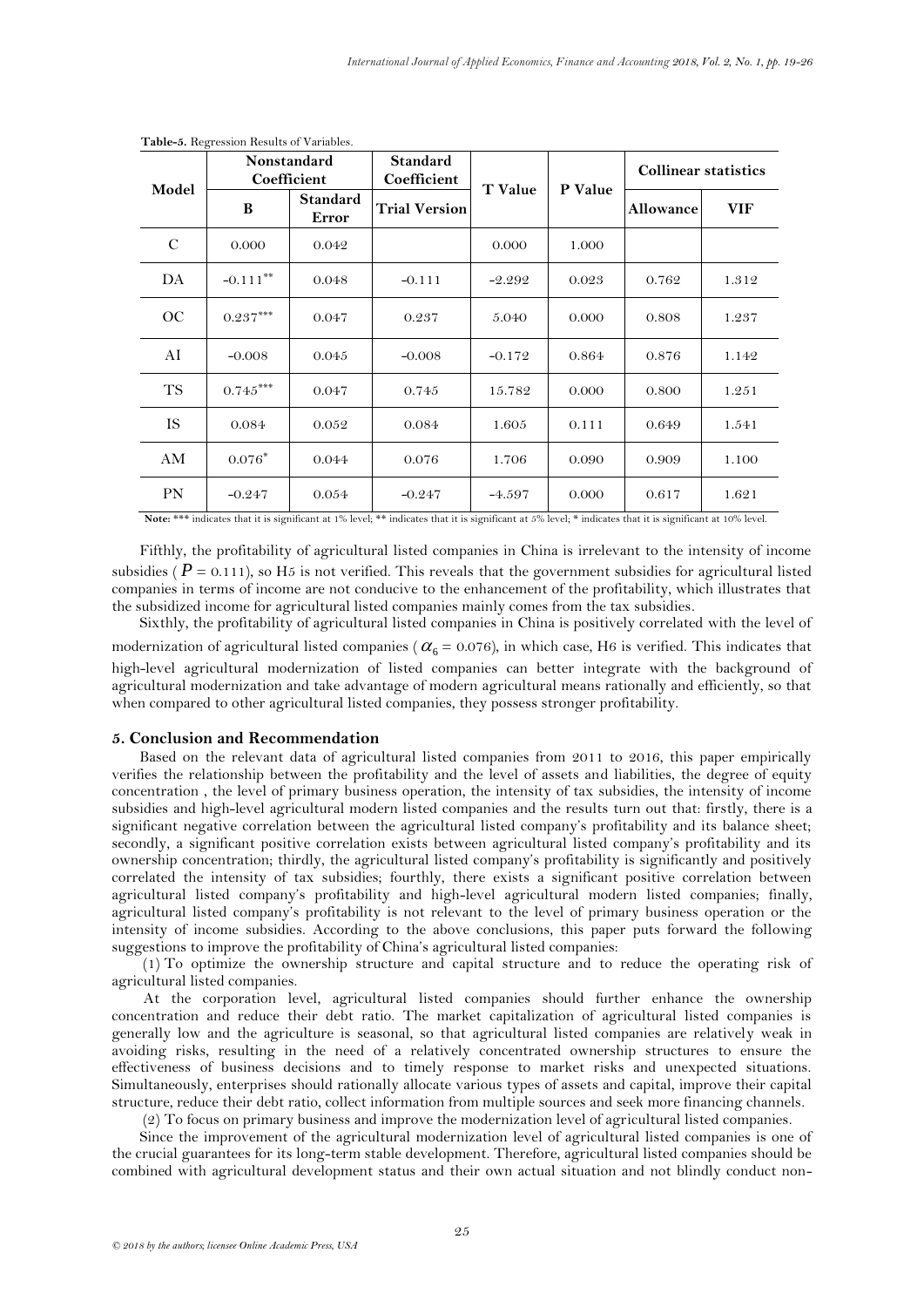| Model     | <b>Nonstandard</b><br>Coefficient |                          | <b>Standard</b><br>Coefficient | T Value  | P Value | <b>Collinear statistics</b> |            |  |
|-----------|-----------------------------------|--------------------------|--------------------------------|----------|---------|-----------------------------|------------|--|
|           | B                                 | <b>Standard</b><br>Error | <b>Trial Version</b>           |          |         | <b>Allowance</b>            | <b>VIF</b> |  |
| C         | 0.000                             | 0.042                    |                                | 0.000    | 1.000   |                             |            |  |
| DA        | $-0.111$ **                       | 0.048                    | $-0.111$                       | $-2.292$ | 0.023   | 0.762                       | 1.312      |  |
| OC        | $0.237***$                        | 0.047                    | 0.237                          | 5.040    | 0.000   | 0.808                       | 1.237      |  |
| AI        | $-0.008$                          | 0.045                    | $-0.008$                       | $-0.172$ | 0.864   | 0.876                       | 1.142      |  |
| <b>TS</b> | $0.745***$                        | 0.047                    | 0.745                          | 15.782   | 0.000   | 0.800                       | 1.251      |  |
| <b>IS</b> | 0.084                             | 0.052                    | 0.084                          | 1.605    | 0.111   | 0.649                       | 1.541      |  |
| AM        | $0.076*$                          | 0.044                    | 0.076                          | 1.706    | 0.090   | 0.909                       | 1.100      |  |
| PN        | $-0.247$                          | 0.054                    | $-0.247$                       | $-4.597$ | 0.000   | 0.617                       | 1.621      |  |

<span id="page-6-0"></span>**Table-5.** Regression Results of Variables.

**Note:** \*\*\* indicates that it is significant at 1% level; \*\* indicates that it is significant at 5% level; \* indicates that it is significant at 10% level.

Fifthly, the profitability of agricultural listed companies in China is irrelevant to the intensity of income subsidies ( $P = 0.111$ ), so H<sub>5</sub> is not verified. This reveals that the government subsidies for agricultural listed companies in terms of income are not conducive to the enhancement of the profitability, which illustrates that the subsidized income for agricultural listed companies mainly comes from the tax subsidies.

Sixthly, the profitability of agricultural listed companies in China is positively correlated with the level of modernization of agricultural listed companies (  $\alpha_{\rm 6}$  = 0.076), in which case, H6 is verified. This indicates that high-level agricultural modernization of listed companies can better integrate with the background of agricultural modernization and take advantage of modern agricultural means rationally and efficiently, so that when compared to other agricultural listed companies, they possess stronger profitability.

### **5. Conclusion and Recommendation**

Based on the relevant data of agricultural listed companies from 2011 to 2016, this paper empirically verifies the relationship between the profitability and the level of assets and liabilities, the degree of equity concentration , the level of primary business operation, the intensity of tax subsidies, the intensity of income subsidies and high-level agricultural modern listed companies and the results turn out that: firstly, there is a significant negative correlation between the agricultural listed company's profitability and its balance sheet; secondly, a significant positive correlation exists between agricultural listed company's profitability and its ownership concentration; thirdly, the agricultural listed company's profitability is significantly and positively correlated the intensity of tax subsidies; fourthly, there exists a significant positive correlation between agricultural listed company's profitability and high-level agricultural modern listed companies; finally, agricultural listed company's profitability is not relevant to the level of primary business operation or the intensity of income subsidies. According to the above conclusions, this paper puts forward the following suggestions to improve the profitability of China's agricultural listed companies:

(1) To optimize the ownership structure and capital structure and to reduce the operating risk of agricultural listed companies.

At the corporation level, agricultural listed companies should further enhance the ownership concentration and reduce their debt ratio. The market capitalization of agricultural listed companies is generally low and the agriculture is seasonal, so that agricultural listed companies are relatively weak in avoiding risks, resulting in the need of a relatively concentrated ownership structures to ensure the effectiveness of business decisions and to timely response to market risks and unexpected situations. Simultaneously, enterprises should rationally allocate various types of assets and capital, improve their capital structure, reduce their debt ratio, collect information from multiple sources and seek more financing channels.

(2) To focus on primary business and improve the modernization level of agricultural listed companies.

Since the improvement of the agricultural modernization level of agricultural listed companies is one of the crucial guarantees for its long-term stable development. Therefore, agricultural listed companies should be combined with agricultural development status and their own actual situation and not blindly conduct non